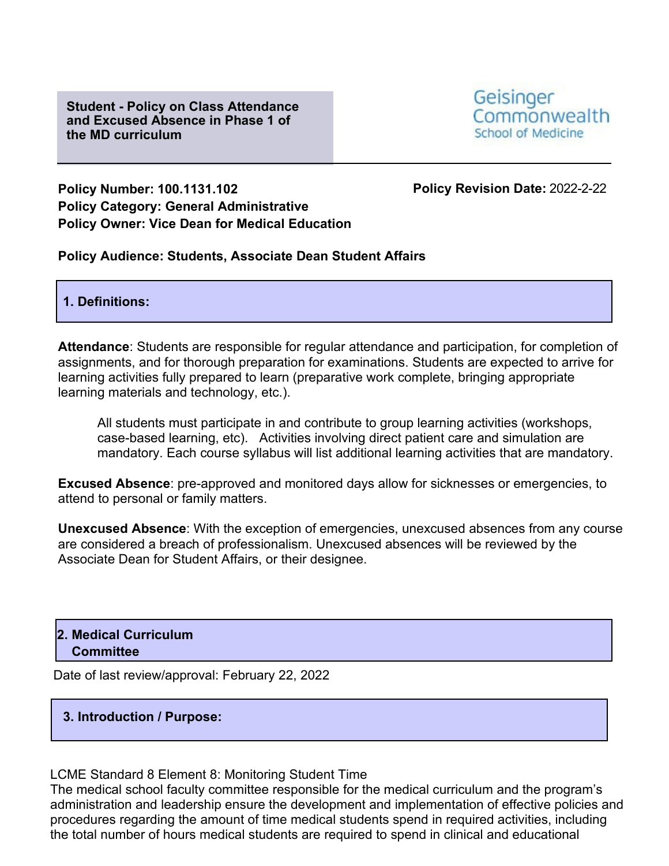**Student - Policy on Class Attendance and Excused Absence in Phase 1 of the MD curriculum** 



# **Policy Number: 100.1131.102 Policy Revision Date:** 2022-2-22 **Policy Category: General Administrative Policy Owner: Vice Dean for Medical Education**

**Policy Audience: Students, Associate Dean Student Affairs**

#### **1. Definitions:**

**Attendance**: Students are responsible for regular attendance and participation, for completion of assignments, and for thorough preparation for examinations. Students are expected to arrive for learning activities fully prepared to learn (preparative work complete, bringing appropriate learning materials and technology, etc.).

All students must participate in and contribute to group learning activities (workshops, case-based learning, etc). Activities involving direct patient care and simulation are mandatory. Each course syllabus will list additional learning activities that are mandatory.

**Excused Absence**: pre-approved and monitored days allow for sicknesses or emergencies, to attend to personal or family matters.

**Unexcused Absence**: With the exception of emergencies, unexcused absences from any course are considered a breach of professionalism. Unexcused absences will be reviewed by the Associate Dean for Student Affairs, or their designee.

## **2. Medical Curriculum Committee**

Date of last review/approval: February 22, 2022

#### **3. Introduction / Purpose:**

LCME Standard 8 Element 8: Monitoring Student Time

The medical school faculty committee responsible for the medical curriculum and the program's administration and leadership ensure the development and implementation of effective policies and procedures regarding the amount of time medical students spend in required activities, including the total number of hours medical students are required to spend in clinical and educational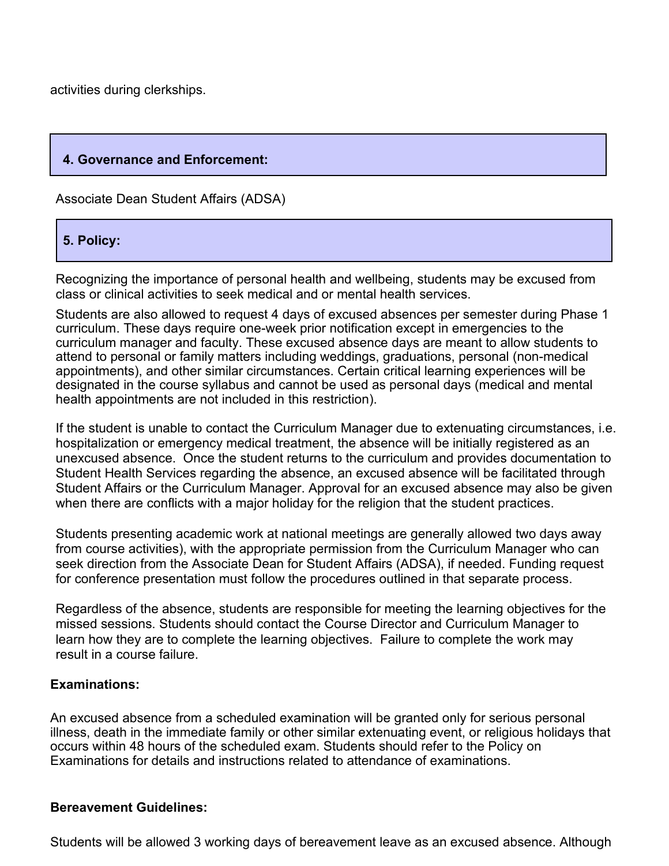activities during clerkships.

# **4. Governance and Enforcement:**

Associate Dean Student Affairs (ADSA)

# **5. Policy:**

Recognizing the importance of personal health and wellbeing, students may be excused from class or clinical activities to seek medical and or mental health services.

Students are also allowed to request 4 days of excused absences per semester during Phase 1 curriculum. These days require one-week prior notification except in emergencies to the curriculum manager and faculty. These excused absence days are meant to allow students to attend to personal or family matters including weddings, graduations, personal (non-medical appointments), and other similar circumstances. Certain critical learning experiences will be designated in the course syllabus and cannot be used as personal days (medical and mental health appointments are not included in this restriction).

If the student is unable to contact the Curriculum Manager due to extenuating circumstances, i.e. hospitalization or emergency medical treatment, the absence will be initially registered as an unexcused absence. Once the student returns to the curriculum and provides documentation to Student Health Services regarding the absence, an excused absence will be facilitated through Student Affairs or the Curriculum Manager. Approval for an excused absence may also be given when there are conflicts with a major holiday for the religion that the student practices.

Students presenting academic work at national meetings are generally allowed two days away from course activities), with the appropriate permission from the Curriculum Manager who can seek direction from the Associate Dean for Student Affairs (ADSA), if needed. Funding request for conference presentation must follow the procedures outlined in that separate process.

Regardless of the absence, students are responsible for meeting the learning objectives for the missed sessions. Students should contact the Course Director and Curriculum Manager to learn how they are to complete the learning objectives. Failure to complete the work may result in a course failure.

## **Examinations:**

An excused absence from a scheduled examination will be granted only for serious personal illness, death in the immediate family or other similar extenuating event, or religious holidays that occurs within 48 hours of the scheduled exam. Students should refer to the Policy on Examinations for details and instructions related to attendance of examinations.

## **Bereavement Guidelines:**

Students will be allowed 3 working days of bereavement leave as an excused absence. Although